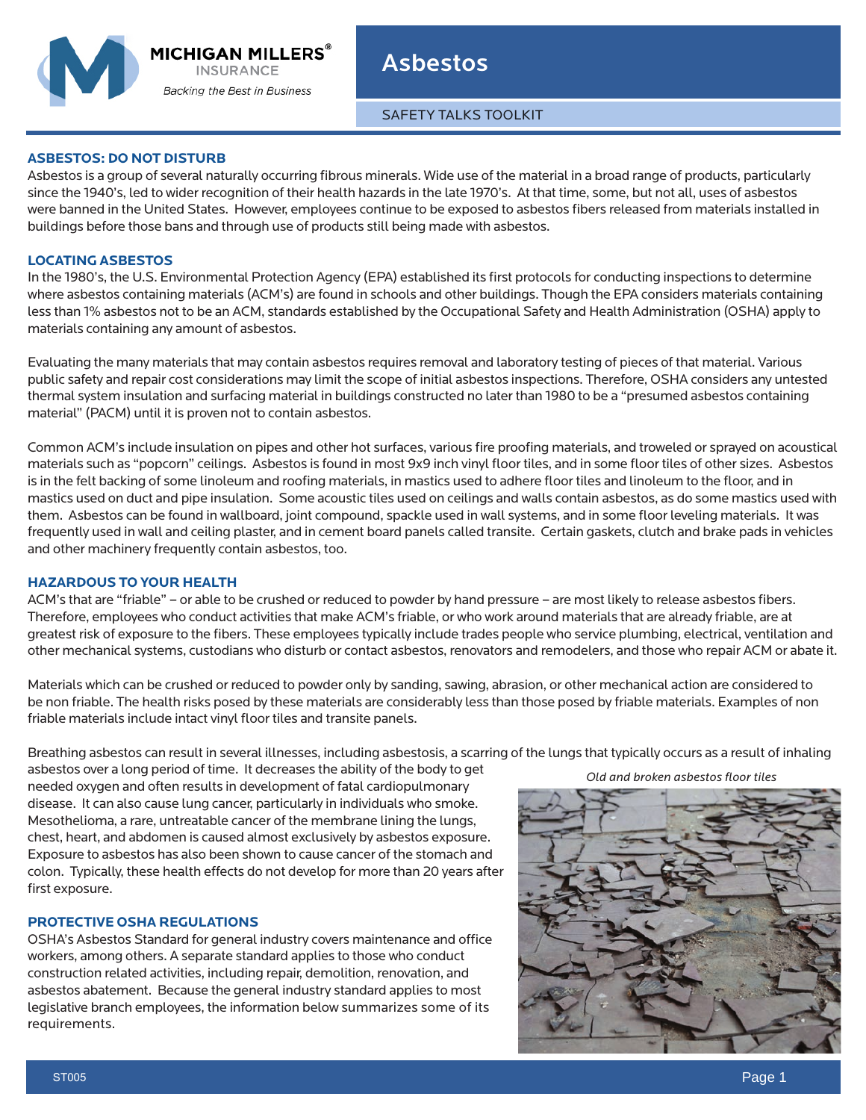**Backing the Best in Business** 

Asbestos

SAFETY TALKS TOOLKIT

# **ASBESTOS: DO NOT DISTURB**

Asbestos is a group of several naturally occurring fibrous minerals. Wide use of the material in a broad range of products, particularly since the 1940's, led to wider recognition of their health hazards in the late 1970's. At that time, some, but not all, uses of asbestos were banned in the United States. However, employees continue to be exposed to asbestos fibers released from materials installed in buildings before those bans and through use of products still being made with asbestos.

# **LOCATING ASBESTOS**

In the 1980's, the U.S. Environmental Protection Agency (EPA) established its first protocols for conducting inspections to determine where asbestos containing materials (ACM's) are found in schools and other buildings. Though the EPA considers materials containing less than 1% asbestos not to be an ACM, standards established by the Occupational Safety and Health Administration (OSHA) apply to materials containing any amount of asbestos.

Evaluating the many materials that may contain asbestos requires removal and laboratory testing of pieces of that material. Various public safety and repair cost considerations may limit the scope of initial asbestos inspections. Therefore, OSHA considers any untested thermal system insulation and surfacing material in buildings constructed no later than 1980 to be a "presumed asbestos containing material" (PACM) until it is proven not to contain asbestos.

Common ACM's include insulation on pipes and other hot surfaces, various fire proofing materials, and troweled or sprayed on acoustical materials such as "popcorn" ceilings. Asbestos is found in most 9x9 inch vinyl floor tiles, and in some floor tiles of other sizes. Asbestos is in the felt backing of some linoleum and roofing materials, in mastics used to adhere floor tiles and linoleum to the floor, and in mastics used on duct and pipe insulation. Some acoustic tiles used on ceilings and walls contain asbestos, as do some mastics used with them. Asbestos can be found in wallboard, joint compound, spackle used in wall systems, and in some floor leveling materials. It was frequently used in wall and ceiling plaster, and in cement board panels called transite. Certain gaskets, clutch and brake pads in vehicles and other machinery frequently contain asbestos, too.

# **HAZARDOUS TO YOUR HEALTH**

ACM's that are "friable" – or able to be crushed or reduced to powder by hand pressure – are most likely to release asbestos fibers. Therefore, employees who conduct activities that make ACM's friable, or who work around materials that are already friable, are at greatest risk of exposure to the fibers. These employees typically include trades people who service plumbing, electrical, ventilation and other mechanical systems, custodians who disturb or contact asbestos, renovators and remodelers, and those who repair ACM or abate it.

Materials which can be crushed or reduced to powder only by sanding, sawing, abrasion, or other mechanical action are considered to be non friable. The health risks posed by these materials are considerably less than those posed by friable materials. Examples of non friable materials include intact vinyl floor tiles and transite panels.

Breathing asbestos can result in several illnesses, including asbestosis, a scarring of the lungs that typically occurs as a result of inhaling

asbestos over a long period of time. It decreases the ability of the body to get needed oxygen and often results in development of fatal cardiopulmonary disease. It can also cause lung cancer, particularly in individuals who smoke. Mesothelioma, a rare, untreatable cancer of the membrane lining the lungs, chest, heart, and abdomen is caused almost exclusively by asbestos exposure. Exposure to asbestos has also been shown to cause cancer of the stomach and colon. Typically, these health effects do not develop for more than 20 years after first exposure.

# **PROTECTIVE OSHA REGULATIONS**

OSHA's Asbestos Standard for general industry covers maintenance and office workers, among others. A separate standard applies to those who conduct construction related activities, including repair, demolition, renovation, and asbestos abatement. Because the general industry standard applies to most legislative branch employees, the information below summarizes some of its requirements.

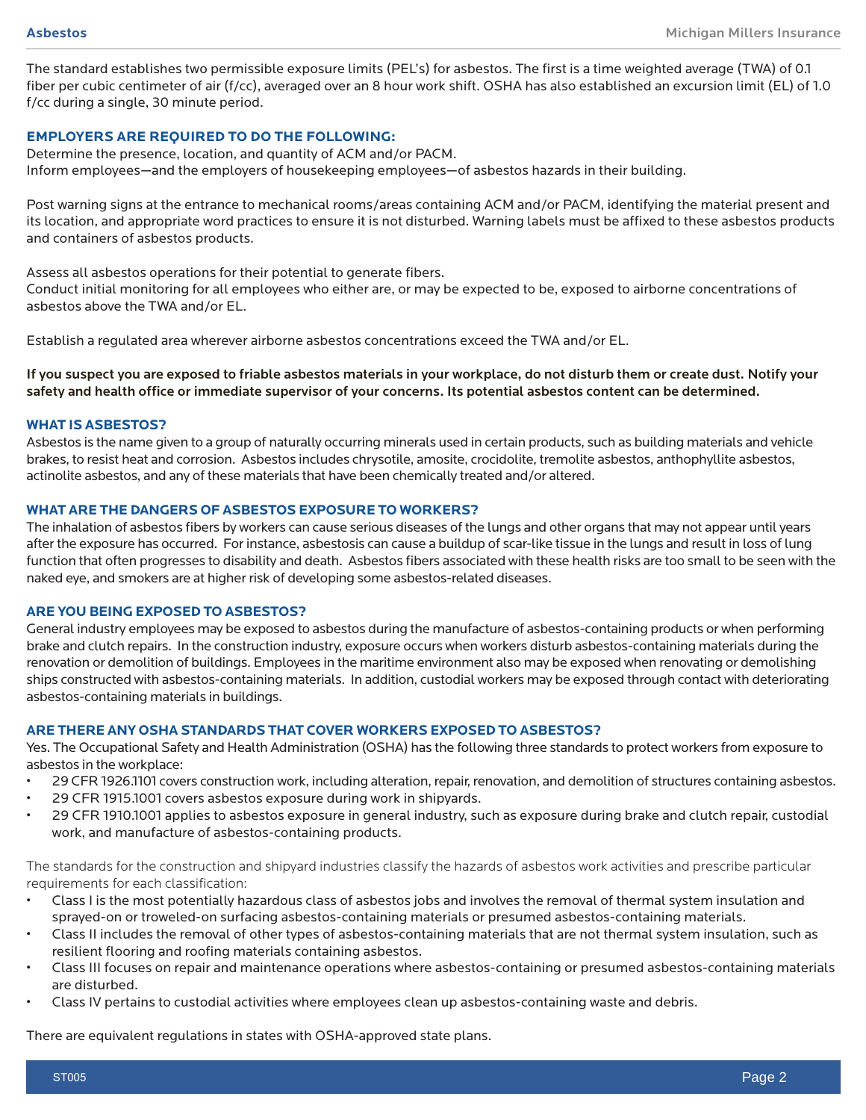The standard establishes two permissible exposure limits (PEL's) for asbestos. The first is a time weighted average (TWA) of 0.1 fiber per cubic centimeter of air (f/cc), averaged over an 8 hour work shift. OSHA has also established an excursion limit (EL) of 1.0 f/cc during a single, 30 minute period.

## **EMPLOYERS ARE REQUIRED TO DO THE FOLLOWING:**

Determine the presence, location, and quantity of ACM and/or PACM. Inform employees—and the employers of housekeeping employees—of asbestos hazards in their building.

Post warning signs at the entrance to mechanical rooms/areas containing ACM and/or PACM, identifying the material present and its location, and appropriate word practices to ensure it is not disturbed. Warning labels must be affixed to these asbestos products and containers of asbestos products.

Assess all asbestos operations for their potential to generate fibers.

Conduct initial monitoring for all employees who either are, or may be expected to be, exposed to airborne concentrations of asbestos above the TWA and/or EL.

Establish a regulated area wherever airborne asbestos concentrations exceed the TWA and/or EL.

## If you suspect you are exposed to friable asbestos materials in your workplace, do not disturb them or create dust. Notify your safety and health office or immediate supervisor of your concerns. Its potential asbestos content can be determined.

#### **WHAT IS ASBESTOS?**

Asbestos is the name given to a group of naturally occurring minerals used in certain products, such as building materials and vehicle brakes, to resist heat and corrosion. Asbestos includes chrysotile, amosite, crocidolite, tremolite asbestos, anthophyllite asbestos, actinolite asbestos, and any of these materials that have been chemically treated and/or altered.

#### **WHAT ARE THE DANGERS OF ASBESTOS EXPOSURE TO WORKERS?**

The inhalation of asbestos fibers by workers can cause serious diseases of the lungs and other organs that may not appear until years after the exposure has occurred. For instance, asbestosis can cause a buildup of scar-like tissue in the lungs and result in loss of lung function that often progresses to disability and death. Asbestos fibers associated with these health risks are too small to be seen with the naked eye, and smokers are at higher risk of developing some asbestos-related diseases.

#### **ARE YOU BEING EXPOSED TO ASBESTOS?**

General industry employees may be exposed to asbestos during the manufacture of asbestos-containing products or when performing brake and clutch repairs. In the construction industry, exposure occurs when workers disturb asbestos-containing materials during the renovation or demolition of buildings. Employees in the maritime environment also may be exposed when renovating or demolishing ships constructed with asbestos-containing materials. In addition, custodial workers may be exposed through contact with deteriorating asbestos-containing materials in buildings.

#### **ARE THERE ANY OSHA STANDARDS THAT COVER WORKERS EXPOSED TO ASBESTOS?**

Yes. The Occupational Safety and Health Administration (OSHA) has the following three standards to protect workers from exposure to asbestos in the workplace:

- 29 CFR 1926.1101 covers construction work, including alteration, repair, renovation, and demolition of structures containing asbestos.
- 29 CFR 1915.1001 covers asbestos exposure during work in shipyards.
- 29 CFR 1910.1001 applies to asbestos exposure in general industry, such as exposure during brake and clutch repair, custodial work, and manufacture of asbestos-containing products.

The standards for the construction and shipyard industries classify the hazards of asbestos work activities and prescribe particular requirements for each classification:

- Class I is the most potentially hazardous class of asbestos jobs and involves the removal of thermal system insulation and sprayed-on or troweled-on surfacing asbestos-containing materials or presumed asbestos-containing materials.
- Class II includes the removal of other types of asbestos-containing materials that are not thermal system insulation, such as resilient flooring and roofing materials containing asbestos.
- Class III focuses on repair and maintenance operations where asbestos-containing or presumed asbestos-containing materials are disturbed.
- Class IV pertains to custodial activities where employees clean up asbestos-containing waste and debris.

There are equivalent regulations in states with OSHA-approved state plans.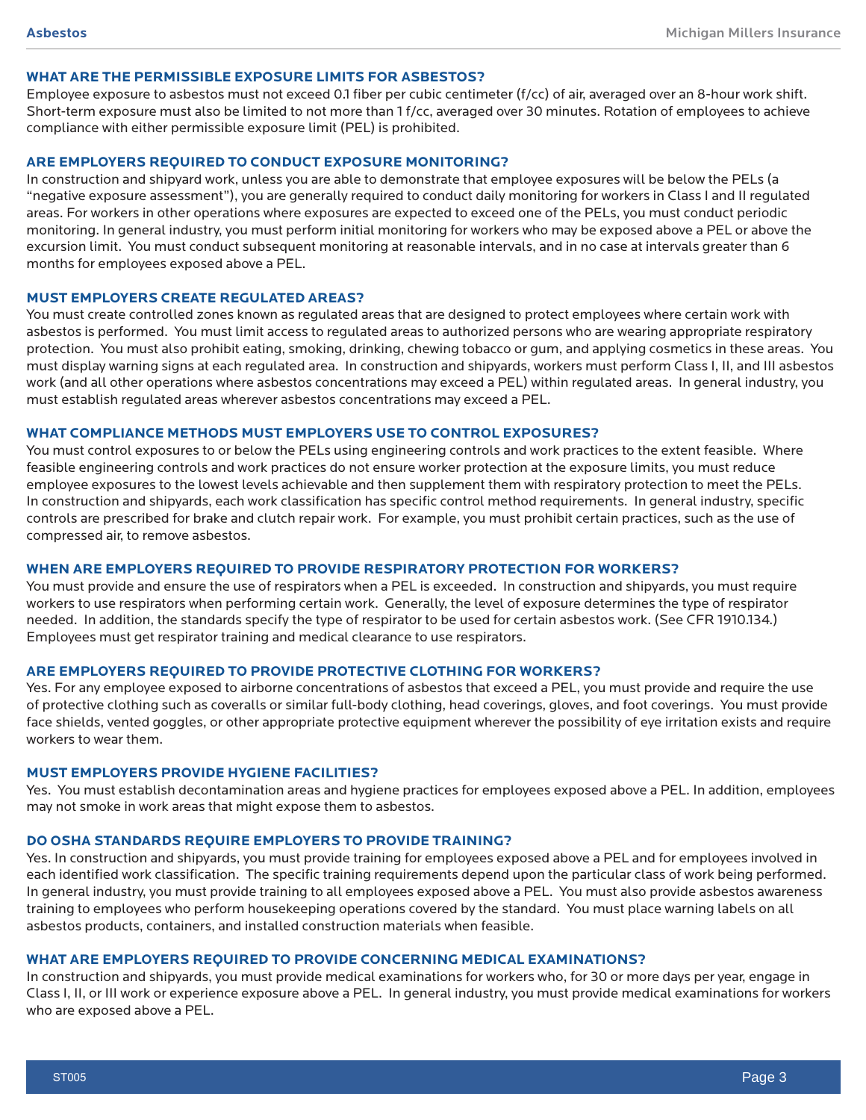## **WHAT ARE THE PERMISSIBLE EXPOSURE LIMITS FOR ASBESTOS?**

Employee exposure to asbestos must not exceed 0.1 fiber per cubic centimeter (f/cc) of air, averaged over an 8-hour work shift. Short-term exposure must also be limited to not more than 1 f/cc, averaged over 30 minutes. Rotation of employees to achieve compliance with either permissible exposure limit (PEL) is prohibited.

### **ARE EMPLOYERS REQUIRED TO CONDUCT EXPOSURE MONITORING?**

In construction and shipyard work, unless you are able to demonstrate that employee exposures will be below the PELs (a "negative exposure assessment"), you are generally required to conduct daily monitoring for workers in Class I and II regulated areas. For workers in other operations where exposures are expected to exceed one of the PELs, you must conduct periodic monitoring. In general industry, you must perform initial monitoring for workers who may be exposed above a PEL or above the excursion limit. You must conduct subsequent monitoring at reasonable intervals, and in no case at intervals greater than 6 months for employees exposed above a PEL.

### **MUST EMPLOYERS CREATE REGULATED AREAS?**

You must create controlled zones known as regulated areas that are designed to protect employees where certain work with asbestos is performed. You must limit access to regulated areas to authorized persons who are wearing appropriate respiratory protection. You must also prohibit eating, smoking, drinking, chewing tobacco or gum, and applying cosmetics in these areas. You must display warning signs at each regulated area. In construction and shipyards, workers must perform Class I, II, and III asbestos work (and all other operations where asbestos concentrations may exceed a PEL) within regulated areas. In general industry, you must establish regulated areas wherever asbestos concentrations may exceed a PEL.

#### **WHAT COMPLIANCE METHODS MUST EMPLOYERS USE TO CONTROL EXPOSURES?**

You must control exposures to or below the PELs using engineering controls and work practices to the extent feasible. Where feasible engineering controls and work practices do not ensure worker protection at the exposure limits, you must reduce employee exposures to the lowest levels achievable and then supplement them with respiratory protection to meet the PELs. In construction and shipyards, each work classification has specific control method requirements. In general industry, specific controls are prescribed for brake and clutch repair work. For example, you must prohibit certain practices, such as the use of compressed air, to remove asbestos.

## **WHEN ARE EMPLOYERS REQUIRED TO PROVIDE RESPIRATORY PROTECTION FOR WORKERS?**

You must provide and ensure the use of respirators when a PEL is exceeded. In construction and shipyards, you must require workers to use respirators when performing certain work. Generally, the level of exposure determines the type of respirator needed. In addition, the standards specify the type of respirator to be used for certain asbestos work. (See CFR 1910.134.) Employees must get respirator training and medical clearance to use respirators.

#### **ARE EMPLOYERS REQUIRED TO PROVIDE PROTECTIVE CLOTHING FOR WORKERS?**

Yes. For any employee exposed to airborne concentrations of asbestos that exceed a PEL, you must provide and require the use of protective clothing such as coveralls or similar full-body clothing, head coverings, gloves, and foot coverings. You must provide face shields, vented goggles, or other appropriate protective equipment wherever the possibility of eye irritation exists and require workers to wear them.

#### **MUST EMPLOYERS PROVIDE HYGIENE FACILITIES?**

Yes. You must establish decontamination areas and hygiene practices for employees exposed above a PEL. In addition, employees may not smoke in work areas that might expose them to asbestos.

### **DO OSHA STANDARDS REQUIRE EMPLOYERS TO PROVIDE TRAINING?**

Yes. In construction and shipyards, you must provide training for employees exposed above a PEL and for employees involved in each identified work classification. The specific training requirements depend upon the particular class of work being performed. In general industry, you must provide training to all employees exposed above a PEL. You must also provide asbestos awareness training to employees who perform housekeeping operations covered by the standard. You must place warning labels on all asbestos products, containers, and installed construction materials when feasible.

#### **WHAT ARE EMPLOYERS REQUIRED TO PROVIDE CONCERNING MEDICAL EXAMINATIONS?**

In construction and shipyards, you must provide medical examinations for workers who, for 30 or more days per year, engage in Class I, II, or III work or experience exposure above a PEL. In general industry, you must provide medical examinations for workers who are exposed above a PEL.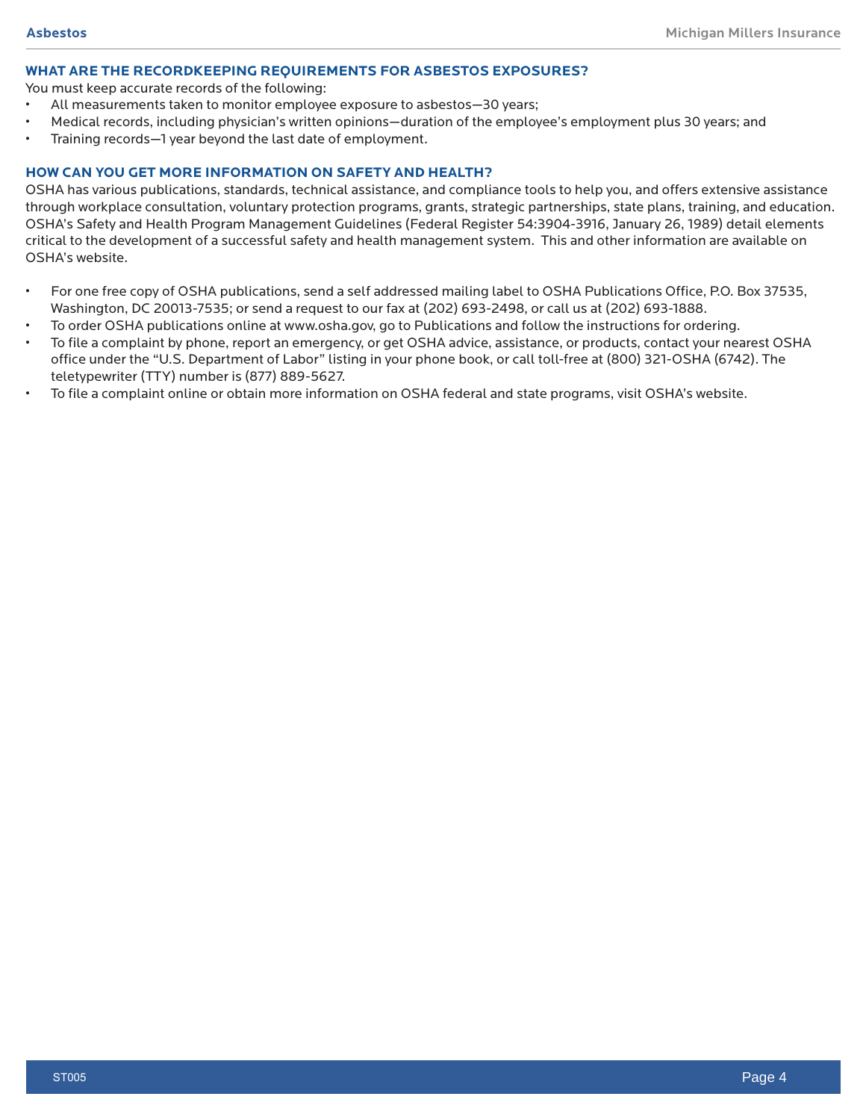#### **WHAT ARE THE RECORDKEEPING REQUIREMENTS FOR ASBESTOS EXPOSURES?**

You must keep accurate records of the following:

- All measurements taken to monitor employee exposure to asbestos—30 years;
- Medical records, including physician's written opinions—duration of the employee's employment plus 30 years; and
- Training records—1 year beyond the last date of employment.

## **HOW CAN YOU GET MORE INFORMATION ON SAFETY AND HEALTH?**

OSHA has various publications, standards, technical assistance, and compliance tools to help you, and offers extensive assistance through workplace consultation, voluntary protection programs, grants, strategic partnerships, state plans, training, and education. OSHA's Safety and Health Program Management Guidelines (Federal Register 54:3904-3916, January 26, 1989) detail elements critical to the development of a successful safety and health management system. This and other information are available on OSHA's website.

- For one free copy of OSHA publications, send a self addressed mailing label to OSHA Publications Office, P.O. Box 37535, Washington, DC 20013-7535; or send a request to our fax at (202) 693-2498, or call us at (202) 693-1888.
- To order OSHA publications online at www.osha.gov, go to Publications and follow the instructions for ordering.
- To file a complaint by phone, report an emergency, or get OSHA advice, assistance, or products, contact your nearest OSHA office under the "U.S. Department of Labor" listing in your phone book, or call toll-free at (800) 321-OSHA (6742). The teletypewriter (TTY) number is (877) 889-5627.
- To file a complaint online or obtain more information on OSHA federal and state programs, visit OSHA's website.